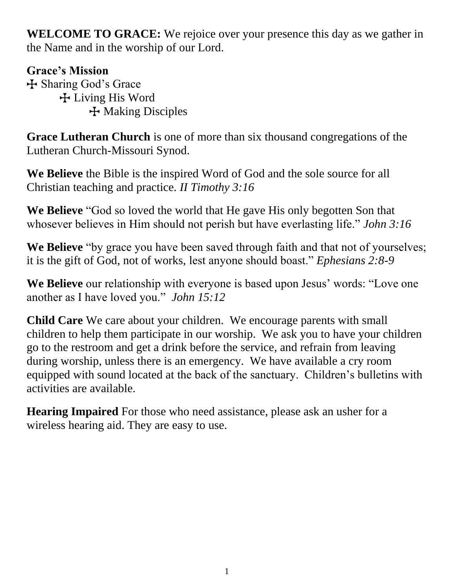**WELCOME TO GRACE:** We rejoice over your presence this day as we gather in the Name and in the worship of our Lord.

## **Grace's Mission**

T Sharing God's Grace T Living His Word T Making Disciples

**Grace Lutheran Church** is one of more than six thousand congregations of the Lutheran Church-Missouri Synod.

**We Believe** the Bible is the inspired Word of God and the sole source for all Christian teaching and practice. *II Timothy 3:16*

**We Believe** "God so loved the world that He gave His only begotten Son that whosever believes in Him should not perish but have everlasting life." *John 3:16*

**We Believe** "by grace you have been saved through faith and that not of yourselves; it is the gift of God, not of works, lest anyone should boast." *Ephesians 2:8-9*

**We Believe** our relationship with everyone is based upon Jesus' words: "Love one another as I have loved you." *John 15:12*

**Child Care** We care about your children. We encourage parents with small children to help them participate in our worship. We ask you to have your children go to the restroom and get a drink before the service, and refrain from leaving during worship, unless there is an emergency. We have available a cry room equipped with sound located at the back of the sanctuary. Children's bulletins with activities are available.

**Hearing Impaired** For those who need assistance, please ask an usher for a wireless hearing aid. They are easy to use.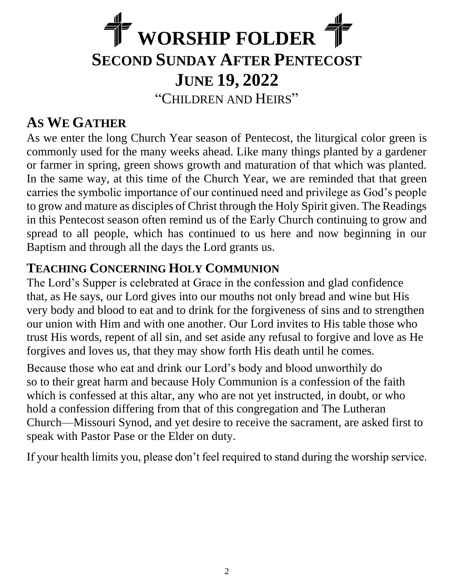# **WORSHIP FOLDER SECOND SUNDAY AFTER PENTECOST JUNE 19, 2022** "CHILDREN AND HEIRS"

## **AS WE GATHER**

As we enter the long Church Year season of Pentecost, the liturgical color green is commonly used for the many weeks ahead. Like many things planted by a gardener or farmer in spring, green shows growth and maturation of that which was planted. In the same way, at this time of the Church Year, we are reminded that that green carries the symbolic importance of our continued need and privilege as God's people to grow and mature as disciples of Christ through the Holy Spirit given. The Readings in this Pentecost season often remind us of the Early Church continuing to grow and spread to all people, which has continued to us here and now beginning in our Baptism and through all the days the Lord grants us.

## **TEACHING CONCERNING HOLY COMMUNION**

The Lord's Supper is celebrated at Grace in the confession and glad confidence that, as He says, our Lord gives into our mouths not only bread and wine but His very body and blood to eat and to drink for the forgiveness of sins and to strengthen our union with Him and with one another. Our Lord invites to His table those who trust His words, repent of all sin, and set aside any refusal to forgive and love as He forgives and loves us, that they may show forth His death until he comes.

Because those who eat and drink our Lord's body and blood unworthily do so to their great harm and because Holy Communion is a confession of the faith which is confessed at this altar, any who are not yet instructed, in doubt, or who hold a confession differing from that of this congregation and The Lutheran Church—Missouri Synod, and yet desire to receive the sacrament, are asked first to speak with Pastor Pase or the Elder on duty.

If your health limits you, please don't feel required to stand during the worship service.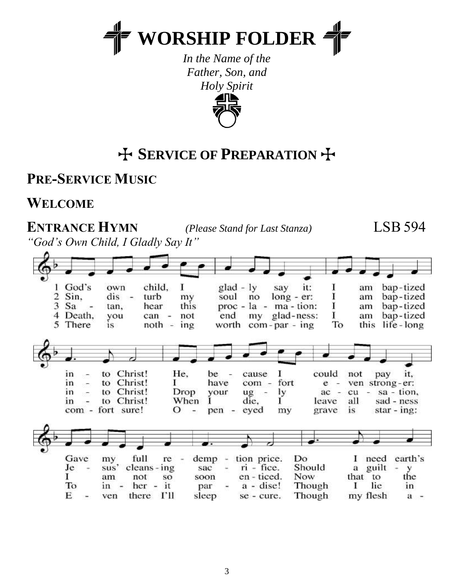

*In the Name of the Father, Son, and Holy Spirit*



## T **SERVICE OF PREPARATION** T

**PRE-SERVICE MUSIC**

**WELCOME**

**ENTRANCE HYMN** *(Please Stand for Last Stanza)* LSB 594

*"God's Own Child, I Gladly Say It"*

| Sin,<br>2<br>3<br>Sa<br>5 There | God's<br>own<br>dis<br>$\sim$<br>tan,<br>$\sim$<br>Death,<br>you<br>1S                               | child,<br>1<br>turb<br>my<br>this<br>hear<br>not<br>can<br>$\rightarrow$<br>$noth -$<br>ing | $glad - ly$<br>soul<br>no<br>end                                                                                                   | it:<br>say<br>$long - er:$<br>$proc - la - ma - tion:$<br>my glad-ness:<br>worth $com-par - ing$ | am<br>am<br>am<br>1<br>am<br>To<br>this                                                                          | bap-tized<br>bap-tized<br>bap-tized<br>bap-tized<br>life - long            |
|---------------------------------|------------------------------------------------------------------------------------------------------|---------------------------------------------------------------------------------------------|------------------------------------------------------------------------------------------------------------------------------------|--------------------------------------------------------------------------------------------------|------------------------------------------------------------------------------------------------------------------|----------------------------------------------------------------------------|
| in<br>in<br>in<br>1n            | to Christ!<br>$\sim$<br>Christ!<br>to<br>$\sim$<br>to<br>$\sim$<br>Christ!<br>to<br>com - fort sure! | He,<br>T.<br>Christ!<br>Drop<br>When<br>О<br>÷                                              | be<br>cause<br>$\sim$<br>have<br>com -<br>$ug -$<br>your<br>1<br>die,<br>eyed<br>pen<br>$\sqrt{2\pi}$                              | 1<br>fort<br>ly<br>н.<br>my                                                                      | could<br>not<br>e<br>$\overline{\phantom{a}}$<br>cu<br>ac<br>$\frac{1}{2}$<br>all<br>leave<br>grave<br><b>1S</b> | pay<br>II,<br>ven strong-er:<br>sa - tion,<br>sad - ness<br>$star - ing$ : |
| Je<br>1<br>To<br>E              | Gave<br>my<br>sus'<br>am<br>in<br>$\overline{\phantom{a}}$<br>ven<br>$\blacksquare$                  | full<br>re<br>cleans - ing<br>not<br>SO<br>it<br>her<br>÷<br>гп<br>there                    | <br>tion price.<br>demp<br>÷<br>$ri$ - fice.<br>sac<br>i.<br>en - ticed.<br>soon<br>$a - disc!$<br>par<br>۰<br>sleep<br>se - cure. | Do<br>Should<br>Now<br>Though<br>Though                                                          | need<br>a<br>that<br>to<br>I<br>my flesh                                                                         | earth's<br>guilt<br>У<br>the<br>in<br>lie<br>$a -$                         |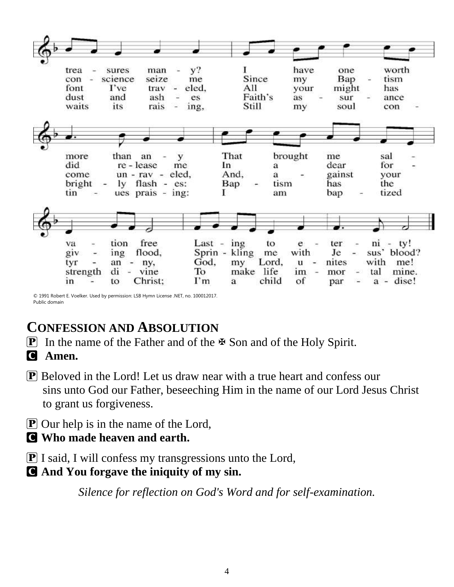| That<br>brought<br>sal<br>than<br>an<br>more<br>me<br>у<br>did<br>for<br>re - lease<br>dear<br>In<br>me<br>a<br>$un - rav - eled$ ,<br>And,<br>gainst<br>come<br>a<br>your                                  | ly flash - es:<br>bright<br>Bap<br>the<br>tism<br>has<br>tin<br>tized<br>ues prais $-$ ing:<br>1<br>bap<br>am | trea<br>con<br>font<br>dust<br>waits | sures<br>science<br>I've<br>and<br>its | man<br>seize<br>trav<br>ash<br>rais | $y$ ?<br>me<br>eled,<br>es<br>ing, | Ι.<br>Since<br>All<br>Faith's<br>Still | have<br>my<br>your<br>as<br>my | one<br>Bap<br>might<br>sur<br>soul | worth<br>tism<br>à.<br>has<br>ance<br>con |
|-------------------------------------------------------------------------------------------------------------------------------------------------------------------------------------------------------------|---------------------------------------------------------------------------------------------------------------|--------------------------------------|----------------------------------------|-------------------------------------|------------------------------------|----------------------------------------|--------------------------------|------------------------------------|-------------------------------------------|
|                                                                                                                                                                                                             |                                                                                                               |                                      |                                        |                                     |                                    |                                        |                                |                                    |                                           |
|                                                                                                                                                                                                             |                                                                                                               |                                      |                                        |                                     |                                    |                                        |                                |                                    |                                           |
| <br>free<br>Last - $ing$<br>$ni - ty!$<br>tion<br>to<br>ter<br>va<br>e                                                                                                                                      |                                                                                                               |                                      |                                        |                                     |                                    |                                        |                                |                                    |                                           |
| Je<br>with<br>Sprin - kling<br>sus' blood?<br>flood,<br>giv<br>me<br>ing<br>$\overline{\phantom{a}}$<br>۰.<br>with<br>God,<br>Lord,<br>nites<br>me!<br>my<br>tyr<br>u<br>an<br>$-$ ny,<br>im -<br>make life |                                                                                                               |                                      |                                        |                                     |                                    |                                        |                                |                                    |                                           |

© 1991 Robert E. Voelker. Used by permission: LSB Hymn License .NET, no. 100012017. Public domain

## **CONFESSION AND ABSOLUTION**

- **P** In the name of the Father and of the  $\Phi$  Son and of the Holy Spirit.
- C **Amen.**
- P Beloved in the Lord! Let us draw near with a true heart and confess our sins unto God our Father, beseeching Him in the name of our Lord Jesus Christ to grant us forgiveness.
- **P** Our help is in the name of the Lord,
- C **Who made heaven and earth.**
- P I said, I will confess my transgressions unto the Lord,
- C **And You forgave the iniquity of my sin.**

*Silence for reflection on God's Word and for self-examination.*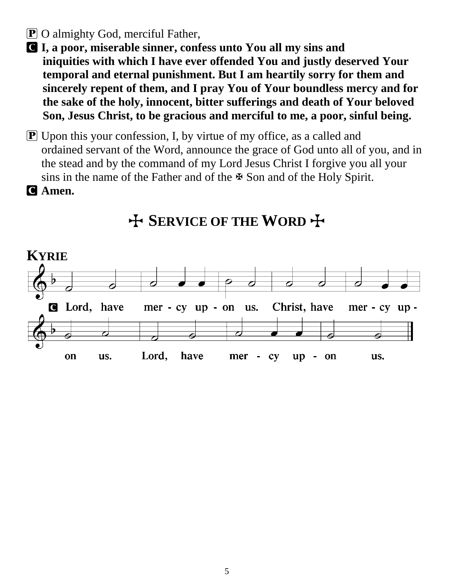### P O almighty God, merciful Father,

C **I, a poor, miserable sinner, confess unto You all my sins and iniquities with which I have ever offended You and justly deserved Your temporal and eternal punishment. But I am heartily sorry for them and sincerely repent of them, and I pray You of Your boundless mercy and for the sake of the holy, innocent, bitter sufferings and death of Your beloved Son, Jesus Christ, to be gracious and merciful to me, a poor, sinful being.**

P Upon this your confession, I, by virtue of my office, as a called and ordained servant of the Word, announce the grace of God unto all of you, and in the stead and by the command of my Lord Jesus Christ I forgive you all your sins in the name of the Father and of the  $\mathbb F$  Son and of the Holy Spirit.

C **Amen.**



## T **SERVICE OF THE WORD** T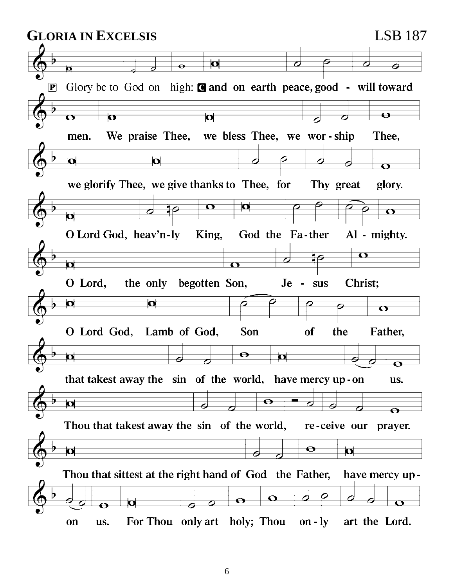**GLORIA IN EXCELSIS** LSB 187 $\overline{\mathbf{p}}$  $\ddot{\mathbf{e}}$ ы Glory be to God on high: and on earth peace, good - will toward  $\boxed{\mathbf{P}}$  $\overline{\mathbf{o}}$ **b** b We praise Thee, we bless Thee, we wor-ship Thee. men.  $\overline{\mathbf{o}}$  $\overline{\mathbf{o}}$ Þ  $\overline{\mathbf{O}}$ we glorify Thee, we give thanks to Thee, for Thy great glory. O  $\mathbf{\Omega}$ 90  $\overline{\mathbf{O}}$  $\overline{\mathbf{o}}$ O Lord God, heav'n-ly King, God the Fa-ther Al - mighty.  $\overline{1\varphi}$  $\mathbf \Omega$  $\overline{\mathbf{o}}$  $\overline{\Omega}$ O Lord, the only begotten Son, Christ;  $Je$ sus O O  $\overline{\mathbf{O}}$ O Lord God, Son Lamb of God. **of** the Father,  $\overline{\mathbf{\Theta}}$ **o**  $\overline{\mathbf{a}}$  $\overline{\mathbf{o}}$ that takest away the sin of the world, have mercy up-on us.  $\overline{\mathbf{o}}$  $\overline{\mathbf{p}}$  $\overline{\bullet}$ Thou that takest away the sin of the world, re-ceive our prayer.  $\boldsymbol{\Theta}$  $\overline{\mathbf{o}}$ О  $\overline{\boldsymbol{\beta}}$ Thou that sittest at the right hand of God the Father, have mercy up - $\varphi$  $\overline{\mathbf{O}}$  $\sigma$  $\overline{\mathcal{C}}$  $\overline{\mathbf{\Theta}}$  $\overline{\mathbf{O}}$ For Thou only art holy; Thou art the Lord. on us. on  $-1y$ 

6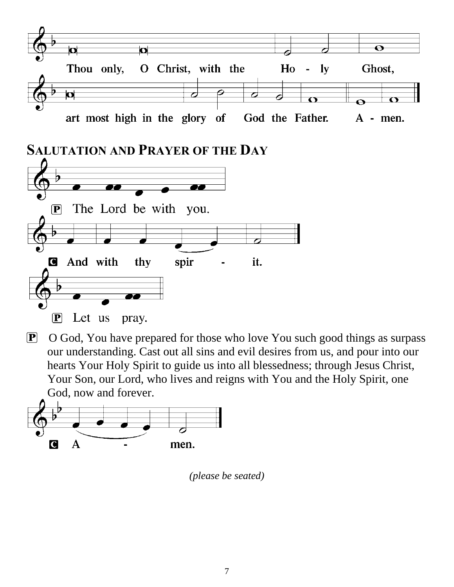

P O God, You have prepared for those who love You such good things as surpass our understanding. Cast out all sins and evil desires from us, and pour into our hearts Your Holy Spirit to guide us into all blessedness; through Jesus Christ, Your Son, our Lord, who lives and reigns with You and the Holy Spirit, one God, now and forever.



*(please be seated)*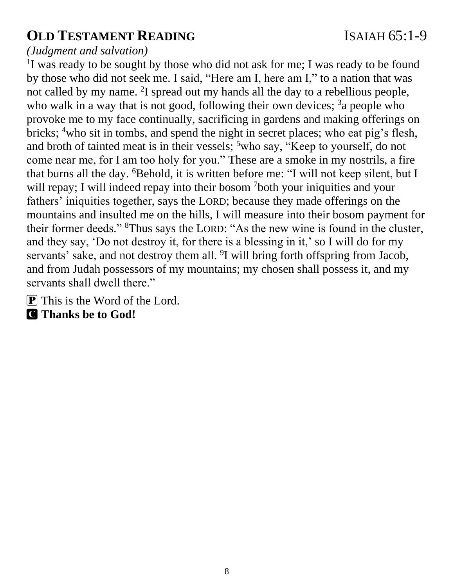## **OLD TESTAMENT READING** ISAIAH 65:1-9

#### *(Judgment and salvation)*

<sup>1</sup>I was ready to be sought by those who did not ask for me; I was ready to be found by those who did not seek me. I said, "Here am I, here am I," to a nation that was not called by my name. <sup>2</sup>I spread out my hands all the day to a rebellious people, who walk in a way that is not good, following their own devices;  $3a$  people who provoke me to my face continually, sacrificing in gardens and making offerings on bricks; <sup>4</sup>who sit in tombs, and spend the night in secret places; who eat pig's flesh, and broth of tainted meat is in their vessels; <sup>5</sup>who say, "Keep to yourself, do not come near me, for I am too holy for you." These are a smoke in my nostrils, a fire that burns all the day. <sup>6</sup>Behold, it is written before me: "I will not keep silent, but I will repay; I will indeed repay into their bosom <sup>7</sup>both your iniquities and your fathers' iniquities together, says the LORD; because they made offerings on the mountains and insulted me on the hills, I will measure into their bosom payment for their former deeds." <sup>8</sup>Thus says the LORD: "As the new wine is found in the cluster, and they say, 'Do not destroy it, for there is a blessing in it,' so I will do for my servants' sake, and not destroy them all. <sup>9</sup>I will bring forth offspring from Jacob, and from Judah possessors of my mountains; my chosen shall possess it, and my servants shall dwell there."

P This is the Word of the Lord.

C **Thanks be to God!**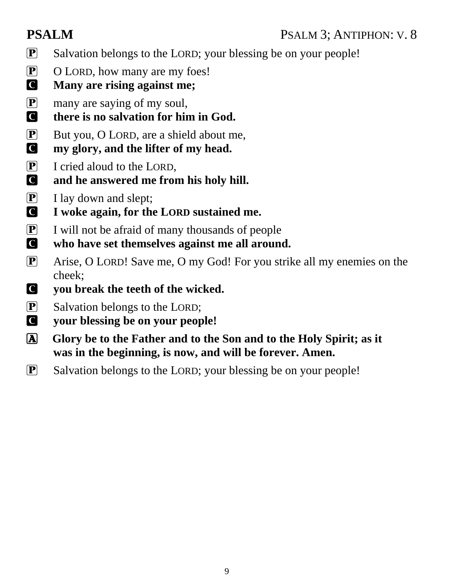- P Salvation belongs to the LORD; your blessing be on your people!
- P O LORD, how many are my foes!
- C **Many are rising against me;**
- P many are saying of my soul,
- C **there is no salvation for him in God.**
- **P** But you, O LORD, are a shield about me.
- C **my glory, and the lifter of my head.**
- P I cried aloud to the LORD,
- C **and he answered me from his holy hill.**
- $\boxed{\mathbf{P}}$  I lay down and slept;
- C **I woke again, for the LORD sustained me.**
- P I will not be afraid of many thousands of people C **who have set themselves against me all around.**
- P Arise, O LORD! Save me, O my God! For you strike all my enemies on the cheek;
- C **you break the teeth of the wicked.**
- P Salvation belongs to the LORD;
- C **your blessing be on your people!**
- A **Glory be to the Father and to the Son and to the Holy Spirit; as it was in the beginning, is now, and will be forever. Amen.**
- P Salvation belongs to the LORD; your blessing be on your people!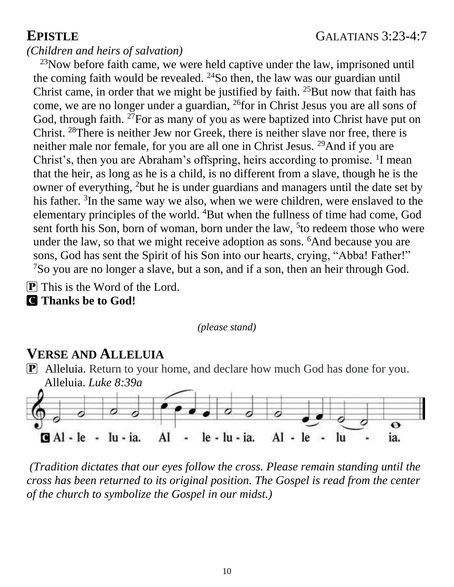#### *(Children and heirs of salvation)*

 $23$ Now before faith came, we were held captive under the law, imprisoned until the coming faith would be revealed.  $24$ So then, the law was our guardian until Christ came, in order that we might be justified by faith.  $25$ But now that faith has come, we are no longer under a guardian, <sup>26</sup>for in Christ Jesus you are all sons of God, through faith. <sup>27</sup>For as many of you as were baptized into Christ have put on Christ. <sup>28</sup>There is neither Jew nor Greek, there is neither slave nor free, there is neither male nor female, for you are all one in Christ Jesus. <sup>29</sup>And if you are Christ's, then you are Abraham's offspring, heirs according to promise. <sup>1</sup>I mean that the heir, as long as he is a child, is no different from a slave, though he is the owner of everything, <sup>2</sup>but he is under guardians and managers until the date set by his father. <sup>3</sup>In the same way we also, when we were children, were enslaved to the elementary principles of the world. <sup>4</sup>But when the fullness of time had come, God sent forth his Son, born of woman, born under the law, <sup>5</sup> to redeem those who were under the law, so that we might receive adoption as sons. <sup>6</sup>And because you are sons, God has sent the Spirit of his Son into our hearts, crying, "Abba! Father!"  $7$ So you are no longer a slave, but a son, and if a son, then an heir through God.

P This is the Word of the Lord.

C **Thanks be to God!**

*(please stand)*

## **VERSE AND ALLELUIA**

P Alleluia. Return to your home, and declare how much God has done for you. Alleluia. *Luke 8:39a*



*(Tradition dictates that our eyes follow the cross. Please remain standing until the cross has been returned to its original position. The Gospel is read from the center of the church to symbolize the Gospel in our midst.)*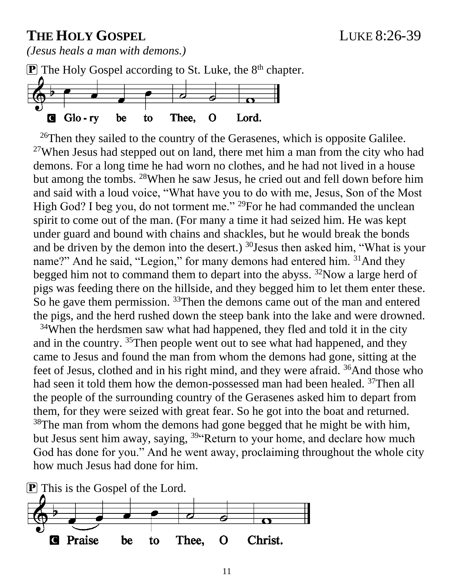## **THE HOLY GOSPEL** LUKE 8:26-39

*(Jesus heals a man with demons.)*



 $^{26}$ Then they sailed to the country of the Gerasenes, which is opposite Galilee. <sup>27</sup>When Jesus had stepped out on land, there met him a man from the city who had demons. For a long time he had worn no clothes, and he had not lived in a house but among the tombs. <sup>28</sup>When he saw Jesus, he cried out and fell down before him and said with a loud voice, "What have you to do with me, Jesus, Son of the Most High God? I beg you, do not torment me." <sup>29</sup>For he had commanded the unclean spirit to come out of the man. (For many a time it had seized him. He was kept under guard and bound with chains and shackles, but he would break the bonds and be driven by the demon into the desert.) <sup>30</sup>Jesus then asked him, "What is your name?" And he said, "Legion," for many demons had entered him. <sup>31</sup>And they begged him not to command them to depart into the abyss. <sup>32</sup>Now a large herd of pigs was feeding there on the hillside, and they begged him to let them enter these. So he gave them permission. <sup>33</sup>Then the demons came out of the man and entered the pigs, and the herd rushed down the steep bank into the lake and were drowned. <sup>34</sup>When the herdsmen saw what had happened, they fled and told it in the city and in the country.  $35$ Then people went out to see what had happened, and they

came to Jesus and found the man from whom the demons had gone, sitting at the feet of Jesus, clothed and in his right mind, and they were afraid. <sup>36</sup>And those who had seen it told them how the demon-possessed man had been healed. <sup>37</sup>Then all the people of the surrounding country of the Gerasenes asked him to depart from them, for they were seized with great fear. So he got into the boat and returned. <sup>38</sup>The man from whom the demons had gone begged that he might be with him, but Jesus sent him away, saying, <sup>39"</sup>Return to your home, and declare how much God has done for you." And he went away, proclaiming throughout the whole city how much Jesus had done for him.

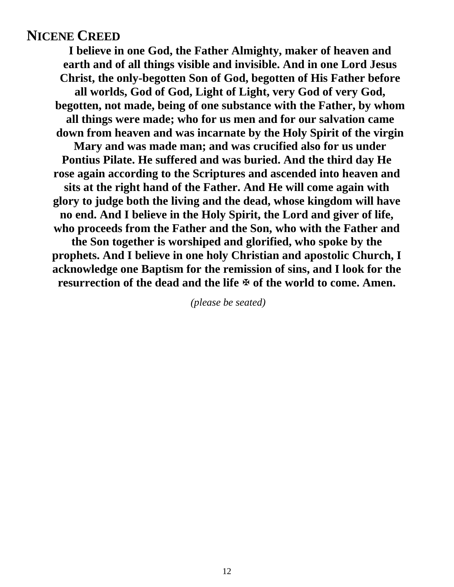#### **NICENE CREED**

**I believe in one God, the Father Almighty, maker of heaven and earth and of all things visible and invisible. And in one Lord Jesus Christ, the only-begotten Son of God, begotten of His Father before all worlds, God of God, Light of Light, very God of very God, begotten, not made, being of one substance with the Father, by whom all things were made; who for us men and for our salvation came down from heaven and was incarnate by the Holy Spirit of the virgin Mary and was made man; and was crucified also for us under Pontius Pilate. He suffered and was buried. And the third day He rose again according to the Scriptures and ascended into heaven and sits at the right hand of the Father. And He will come again with glory to judge both the living and the dead, whose kingdom will have no end. And I believe in the Holy Spirit, the Lord and giver of life, who proceeds from the Father and the Son, who with the Father and the Son together is worshiped and glorified, who spoke by the prophets. And I believe in one holy Christian and apostolic Church, I acknowledge one Baptism for the remission of sins, and I look for the** resurrection of the dead and the life  $\Phi$  of the world to come. Amen.

*(please be seated)*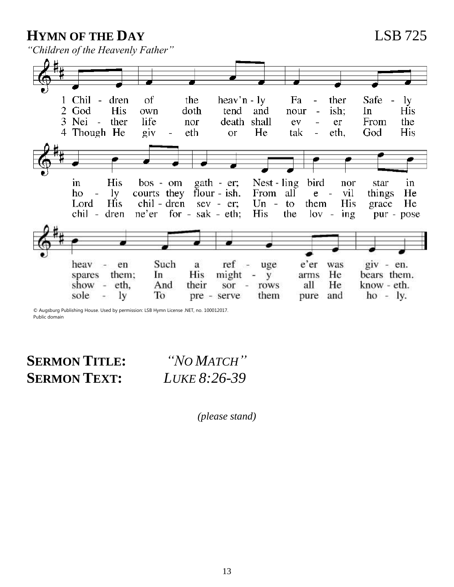**HYMN OF THE DAY** LSB 725

*"Children of the Heavenly Father"*



© Augsburg Publishing House. Used by permission: LSB Hymn License .NET, no. 100012017. Public domain

**SERMON TITLE:** *"NO MATCH"* **SERMON TEXT:** *LUKE 8:26-39*

*(please stand)*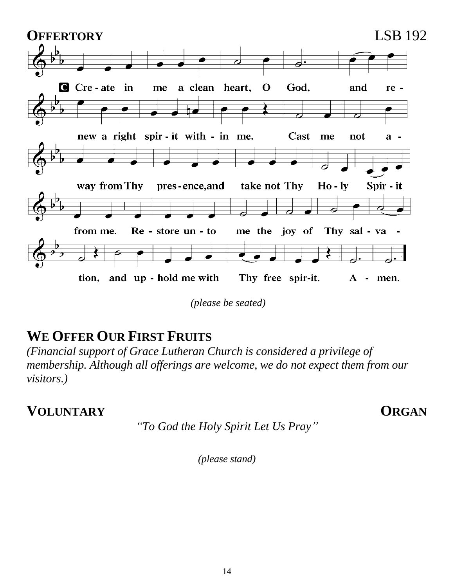

*(please be seated)*

## **WE OFFER OUR FIRST FRUITS**

*(Financial support of Grace Lutheran Church is considered a privilege of membership. Although all offerings are welcome, we do not expect them from our visitors.)*

**VOLUNTARY ORGAN** 

*"To God the Holy Spirit Let Us Pray"*

*(please stand)*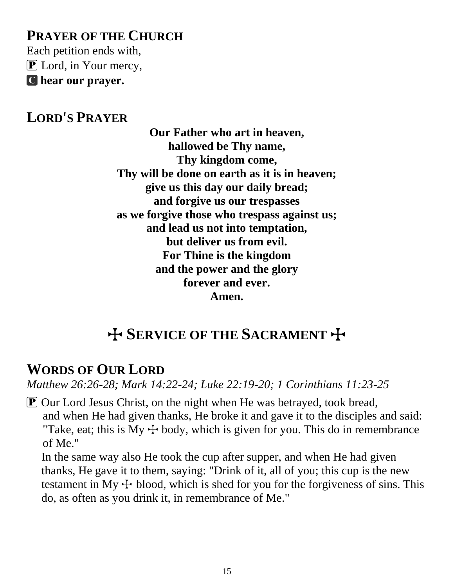## **PRAYER OF THE CHURCH**

Each petition ends with,  $\bf{P}$  Lord, in Your mercy, C **hear our prayer.**

### **LORD'S PRAYER**

**Our Father who art in heaven, hallowed be Thy name, Thy kingdom come, Thy will be done on earth as it is in heaven; give us this day our daily bread; and forgive us our trespasses as we forgive those who trespass against us; and lead us not into temptation, but deliver us from evil. For Thine is the kingdom and the power and the glory forever and ever. Amen.**

## **H** SERVICE OF THE SACRAMENT +

## **WORDS OF OUR LORD**

*Matthew 26:26-28; Mark 14:22-24; Luke 22:19-20; 1 Corinthians 11:23-25*

P Our Lord Jesus Christ, on the night when He was betrayed, took bread, and when He had given thanks, He broke it and gave it to the disciples and said: "Take, eat; this is My  $\pm$  body, which is given for you. This do in remembrance of Me."

 In the same way also He took the cup after supper, and when He had given thanks, He gave it to them, saying: "Drink of it, all of you; this cup is the new testament in My  $\pm$  blood, which is shed for you for the forgiveness of sins. This do, as often as you drink it, in remembrance of Me."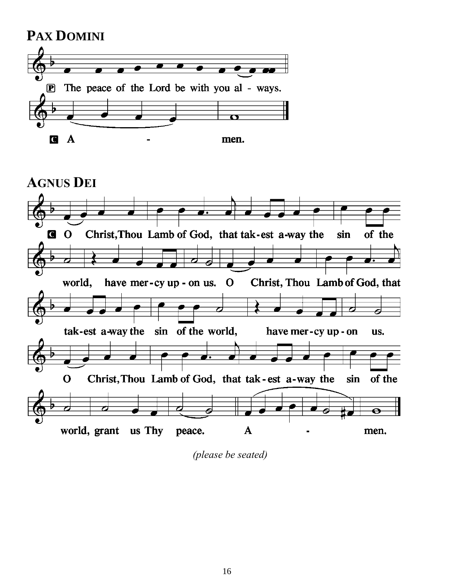



*(please be seated)*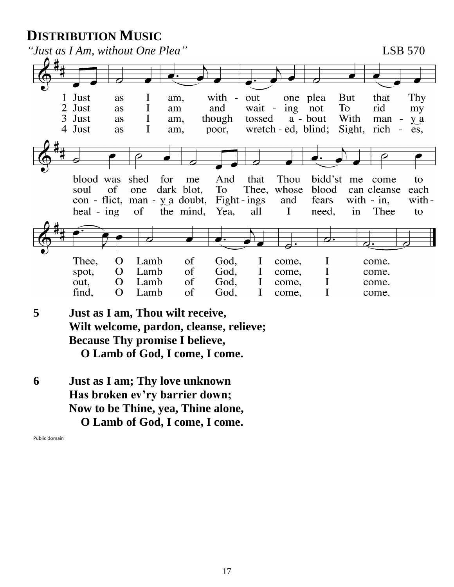## **DISTRIBUTION MUSIC**



- **5 Just as I am, Thou wilt receive, Wilt welcome, pardon, cleanse, relieve; Because Thy promise I believe, O Lamb of God, I come, I come.**
- **6 Just as I am; Thy love unknown Has broken ev'ry barrier down; Now to be Thine, yea, Thine alone, O Lamb of God, I come, I come.**

Public domain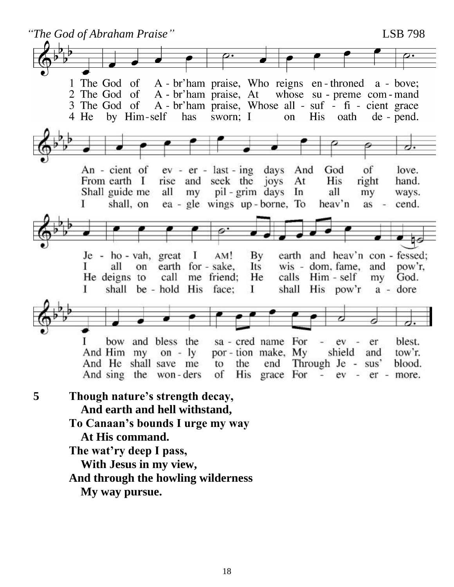*"The God of Abraham Praise"* LSB 798 A - br'ham praise, Who reigns en-throned a - bove; 1 The God of A - br'ham praise, At whose su - preme com - mand 2 The God of A - br'ham praise, Whose all - suf - fi - cient grace 3 The God of 4 He by Him-self has His sworn; I on oath de - pend. An - cient of  $ev - er - last - ing$  days And God of love. From earth I rise and seek the joys At **His** right hand. pil - grim days In Shall guide me all my all my ways. shall, on L ea - gle wings up-borne, To heav'n  $as$ cend. earth and heav'n con-fessed;  $Je - ho - vah$ , great  $\mathbf{I}$  $AM!$ By earth for - sake, wis - dom, fame, and Г all on Its pow'r. He deigns to call me friend; He calls Him - self God. my shall His pow'r L shall be - hold His face: T a - dore sa - cred name For T bow and bless the ev er blest. shield And Him my por - tion make, My tow'r.  $\alpha - y$ and And He shall save me to the end Through Je - sus' blood. His grace For And sing the won-ders of  $\overline{\phantom{a}}$  $ev$ er - more. **5 Though nature's strength decay, And earth and hell withstand, To Canaan's bounds I urge my way At His command. The wat'ry deep I pass, With Jesus in my view, And through the howling wilderness My way pursue.**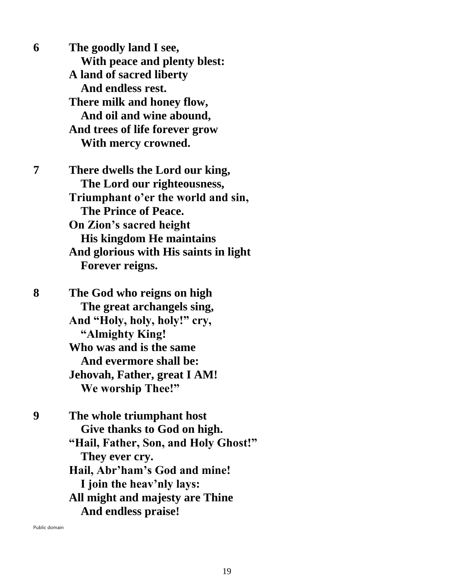**6 The goodly land I see, With peace and plenty blest: A land of sacred liberty And endless rest. There milk and honey flow, And oil and wine abound, And trees of life forever grow With mercy crowned. 7 There dwells the Lord our king, The Lord our righteousness, Triumphant o'er the world and sin, The Prince of Peace. On Zion's sacred height His kingdom He maintains And glorious with His saints in light Forever reigns. 8 The God who reigns on high The great archangels sing, And "Holy, holy, holy!" cry, "Almighty King! Who was and is the same And evermore shall be: Jehovah, Father, great I AM! We worship Thee!" 9 The whole triumphant host Give thanks to God on high. "Hail, Father, Son, and Holy Ghost!" They ever cry. Hail, Abr'ham's God and mine! I join the heav'nly lays: All might and majesty are Thine And endless praise!**

Public domain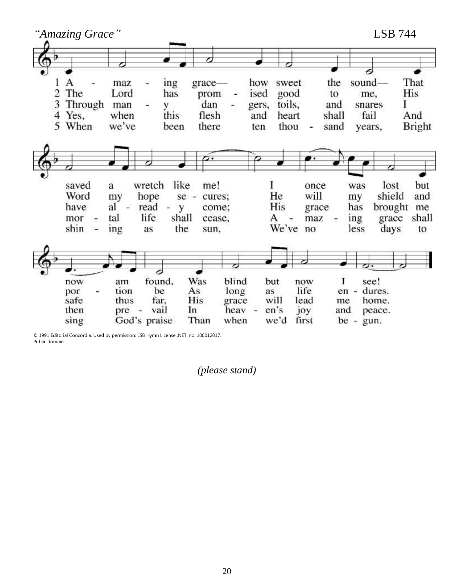

© 1991 Editorial Concordia. Used by permission: LSB Hymn License .NET, no. 100012017. Public domain

*(please stand)*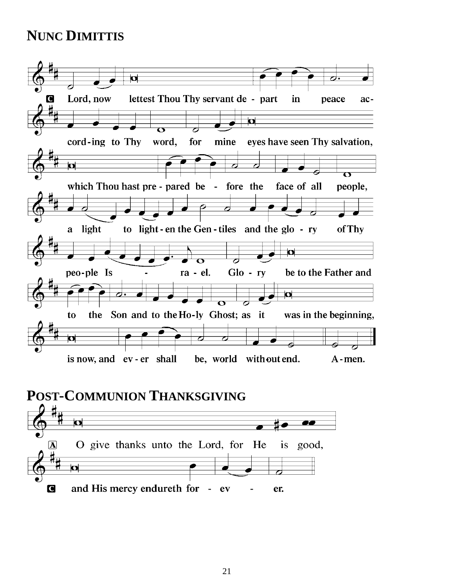## **NUNC DIMITTIS**



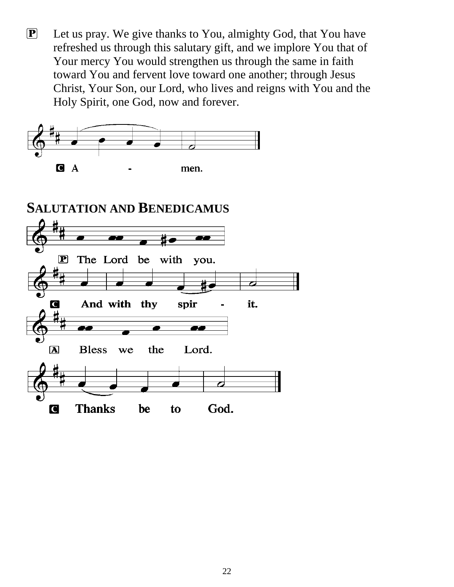P Let us pray. We give thanks to You, almighty God, that You have refreshed us through this salutary gift, and we implore You that of Your mercy You would strengthen us through the same in faith toward You and fervent love toward one another; through Jesus Christ, Your Son, our Lord, who lives and reigns with You and the Holy Spirit, one God, now and forever.

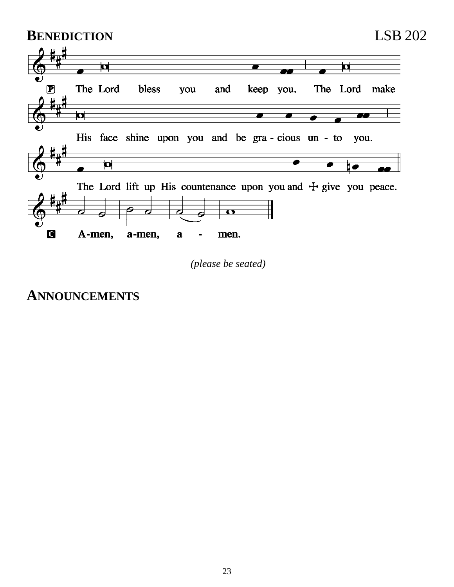

*(please be seated)*

## **ANNOUNCEMENTS**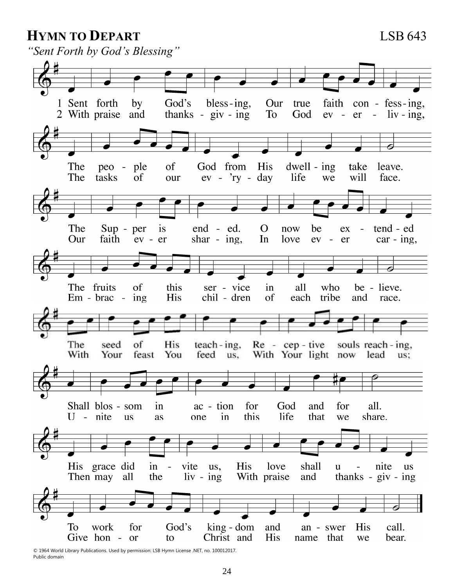#### **HYMN TO DEPART** LSB 643

*"Sent Forth by God's Blessing"*



© 1964 World Library Publications. Used by permission: LSB Hymn License .NET, no. 100012017. Public domain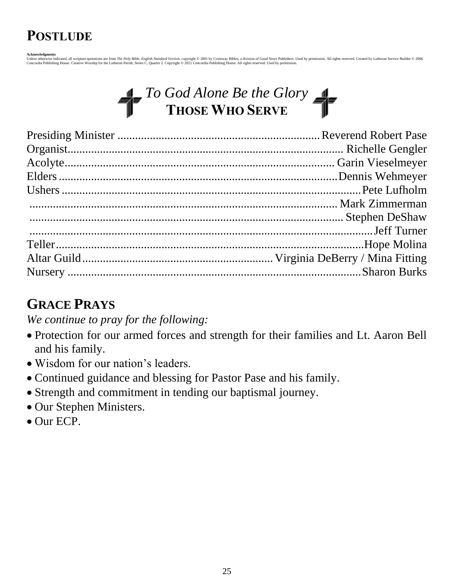## **POSTLUDE**

A<mark>cknowledgments</mark><br>Unles otherwise indicated, all scripture quotations are from *The Holy Bible, English Standard Version,* copyright © 2001 by Crossway Bibles, a division of Good News Publishers. Used by permission. All ri

## *II\_To God Alone Be the Glory* **THOSE WHO SERVE**

## **GRACE PRAYS**

*We continue to pray for the following:*

- Protection for our armed forces and strength for their families and Lt. Aaron Bell and his family.
- Wisdom for our nation's leaders.
- Continued guidance and blessing for Pastor Pase and his family.
- Strength and commitment in tending our baptismal journey.
- Our Stephen Ministers.
- Our ECP.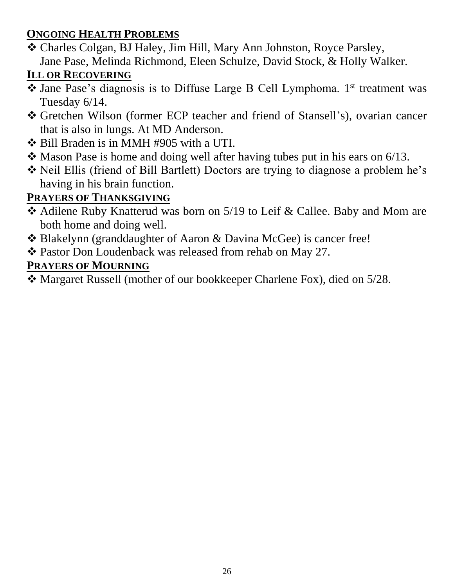#### **ONGOING HEALTH PROBLEMS**

❖ Charles Colgan, BJ Haley, Jim Hill, Mary Ann Johnston, Royce Parsley, Jane Pase, Melinda Richmond, Eleen Schulze, David Stock, & Holly Walker.

## **ILL OR RECOVERING**

- ❖ Jane Pase's diagnosis is to Diffuse Large B Cell Lymphoma. 1 st treatment was Tuesday 6/14.
- ❖ Gretchen Wilson (former ECP teacher and friend of Stansell's), ovarian cancer that is also in lungs. At MD Anderson.
- ❖ Bill Braden is in MMH #905 with a UTI.
- ❖ Mason Pase is home and doing well after having tubes put in his ears on 6/13.
- ❖ Neil Ellis (friend of Bill Bartlett) Doctors are trying to diagnose a problem he's having in his brain function.

## **PRAYERS OF THANKSGIVING**

- ❖ Adilene Ruby Knatterud was born on 5/19 to Leif & Callee. Baby and Mom are both home and doing well.
- ❖ Blakelynn (granddaughter of Aaron & Davina McGee) is cancer free!
- ❖ Pastor Don Loudenback was released from rehab on May 27.

## **PRAYERS OF MOURNING**

❖ Margaret Russell (mother of our bookkeeper Charlene Fox), died on 5/28.